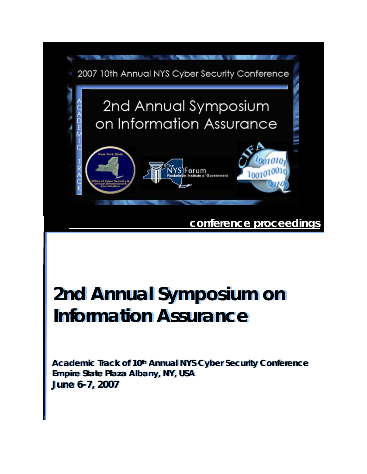

# **2nd Annual Symposium on 2nd Annual Symposium on Information Assurance Information Assurance**

*Academic Track of 10th Annual NYS Cyber Security Conference Academic Track of 10th Annual NYS Cyber Security Conference*  **Empire State Plaza Albany, NY, USA Empire State Plaza Albany, NY, USA June 6-7, 2007 June 6-7, 2007**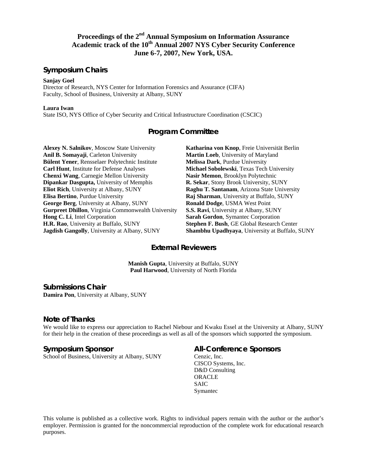# **Proceedings of the 2nd Annual Symposium on Information Assurance Academic track of the 10th Annual 2007 NYS Cyber Security Conference June 6-7, 2007, New York, USA.**

# **Symposium Chairs**

#### **Sanjay Goel**

Director of Research, NYS Center for Information Forensics and Assurance (CIFA) Faculty, School of Business, University at Albany, SUNY

#### **Laura Iwan**

State ISO, NYS Office of Cyber Security and Critical Infrastructure Coordination (CSCIC)

# **Program Committee**

**Alexey N. Salnikov**, Moscow State University **Anil B. Somayaji**, Carleton University **Bülent Yener**, Rensselaer Polytechnic Institute **Carl Hunt**, Institute for Defense Analyses **Chenxi Wang**, Carnegie Mellon University **Dipankar Dasgupta,** University of Memphis **Eliot Rich**, University at Albany, SUNY **Elisa Bertino**, Purdue University **George Berg**, University at Albany, SUNY **Gurpreet Dhillon**, Virginia Commonwealth University **Hong C. Li**, Intel Corporation **H.R. Rao**, University at Buffalo, SUNY **Jagdish Gangolly**, University at Albany, SUNY

**Katharina von Knop**, Freie Universität Berlin **Martin Loeb**, University of Maryland **Melissa Dark**, Purdue University **Michael Sobolewski**, Texas Tech University **Nasir Memon**, Brooklyn Polytechnic **R. Sekar**, Stony Brook University, SUNY **Raghu T. Santanam**, Arizona State University **Raj Sharman**, University at Buffalo, SUNY **Ronald Dodge**, USMA West Point **S.S. Ravi**, University at Albany, SUNY **Sarah Gordon**, Symantec Corporation **Stephen F. Bush**, GE Global Research Center **Shambhu Upadhyaya**, University at Buffalo, SUNY

# **External Reviewers**

**Manish Gupta**, University at Buffalo, SUNY **Paul Harwood**, University of North Florida

# **Submissions Chair**<br>**Damira Pon**, University at Albany, SUNY

# **Note of Thanks**

We would like to express our appreciation to Rachel Niebour and Kwaku Essel at the University at Albany, SUNY for their help in the creation of these proceedings as well as all of the sponsors which supported the symposium.

# **Symposium Sponsor**

School of Business, University at Albany, SUNY

# **All-Conference Sponsors**

Cenzic, Inc. CISCO Systems, Inc. D&D Consulting ORACLE SAIC Symantec

This volume is published as a collective work. Rights to individual papers remain with the author or the author's employer. Permission is granted for the noncommercial reproduction of the complete work for educational research purposes.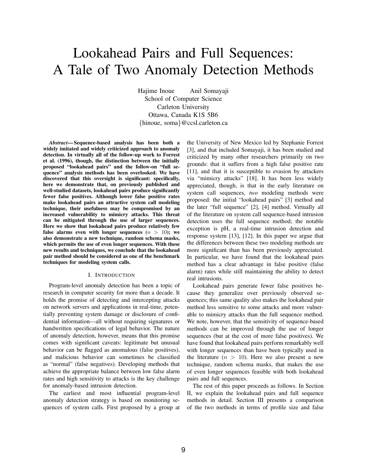# Lookahead Pairs and Full Sequences: A Tale of Two Anomaly Detection Methods

Hajime Inoue Anil Somayaji School of Computer Science Carleton University Ottawa, Canada K1S 5B6 {hinoue, soma}@ccsl.carleton.ca

*Abstract*— Sequence-based analysis has been both a widely imitated and widely criticized approach to anomaly detection. In virtually all of the follow-up work to Forrest et al. (1996), though, the distinction between the initially proposed "lookahead pairs" and the follow-on "full sequence" analysis methods has been overlooked. We have discovered that this oversight is significant: specifically, here we demonstrate that, on previously published and well-studied datasets, lookahead pairs produce significantly fewer false positives. Although lower false positive rates make lookahead pairs an attractive system call modeling technique, their usefulness may be compromised by an increased vulnerability to mimicry attacks. This threat can be mitigated through the use of larger sequences. Here we show that lookahead pairs produce relatively few false alarms even with longer sequences  $(n > 10)$ ; we also demonstrate a new technique, random schema masks, which permits the use of even longer sequences. With these new results and techniques, we conclude that the lookahead pair method should be considered as one of the benchmark techniques for modeling system calls.

#### I. INTRODUCTION

Program-level anomaly detection has been a topic of research in computer security for more than a decade. It holds the promise of detecting and intercepting attacks on network servers and applications in real-time, potentially preventing system damage or disclosure of confidential information—all without requiring signatures or handwritten specifications of legal behavior. The nature of anomaly detection, however, means that this promise comes with significant caveats: legitimate but unusual behavior can be flagged as anomalous (false positives), and malicious behavior can sometimes be classified as "normal" (false negatives). Developing methods that achieve the appropriate balance between low false alarm rates and high sensitivity to attacks is the key challenge for anomaly-based intrusion detection.

The earliest and most influential program-level anomaly detection strategy is based on monitoring sequences of system calls. First proposed by a group at the University of New Mexico led by Stephanie Forrest [3], and that included Somayaji, it has been studied and criticized by many other researchers primarily on two grounds: that it suffers from a high false positive rate [11], and that it is susceptible to evasion by attackers via "mimicry attacks" [18]. It has been less widely appreciated, though, is that in the early literature on system call sequences, *two* modeling methods were proposed: the initial "lookahead pairs" [3] method and the later "full sequence" [2], [4] method. Virtually all of the literature on system call sequence-based intrusion detection uses the full sequence method; the notable exception is pH, a real-time intrusion detection and response system [13], [12]. In this paper we argue that the differences between these two modeling methods are more significant than has been previously appreciated. In particular, we have found that the lookahead pairs method has a clear advantage in false positive (false alarm) rates while still maintaining the ability to detect real intrusions.

Lookahead pairs generate fewer false positives because they generalize over previously observed sequences; this same quality also makes the lookahead pair method less sensitive to some attacks and more vulnerable to mimicry attacks than the full sequence method. We note, however, that the sensitivity of sequence-based methods can be improved through the use of longer sequences (but at the cost of more false positives). We have found that lookahead pairs perform remarkably well with longer sequences than have been typically used in the literature  $(n > 10)$ . Here we also present a new technique, random schema masks, that makes the use of even longer sequences feasible with both lookahead pairs and full sequences.

The rest of this paper proceeds as follows. In Section II, we explain the lookahead pairs and full sequence methods in detail. Section III presents a comparison of the two methods in terms of profile size and false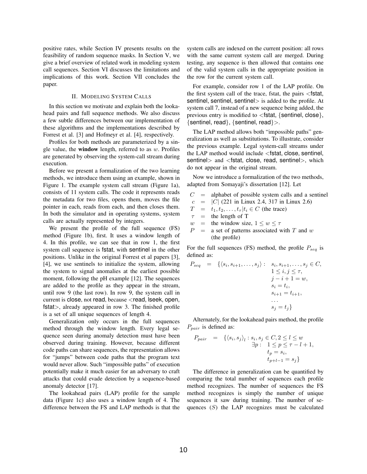positive rates, while Section IV presents results on the feasibility of random sequence masks. In Section V, we give a brief overview of related work in modeling system call sequences. Section VI discusses the limitations and implications of this work. Section VII concludes the paper.

#### II. MODELING SYSTEM CALLS

In this section we motivate and explain both the lookahead pairs and full sequence methods. We also discuss a few subtle differences between our implementation of these algorithms and the implementations described by Forrest et al. [3] and Hofmeyr et al. [4], respectively.

Profiles for both methods are parameterized by a single value, the **window** length, referred to as  $w$ . Profiles are generated by observing the system-call stream during execution.

Before we present a formalization of the two learning methods, we introduce them using an example, shown in Figure 1. The example system call stream (Figure 1a), consists of 11 system calls. The code it represents reads the metadata for two files, opens them, moves the file pointer in each, reads from each, and then closes them. In both the simulator and in operating systems, system calls are actually represented by integers.

We present the profile of the full sequence (FS) method (Figure 1b), first. It uses a window length of 4. In this profile, we can see that in row 1, the first system call sequence is fstat, with sentinel in the other positions. Unlike in the original Forrest et al papers [3], [4], we use sentinels to initialize the system, allowing the system to signal anomalies at the earliest possible moment, following the pH example [12]. The sequences are added to the profile as they appear in the stream, until row 9 (the last row). In row 9, the system call in current is close, not read, because <read, lseek, open, fstat>, already appeared in row 3. The finished profile is a set of all unique sequences of length 4.

Generalization only occurs in the full sequences method through the window length. Every legal sequence seen during anomaly detection must have been observed during training. However, because different code paths can share sequences, the representation allows for "jumps" between code paths that the program text would never allow. Such "impossible paths" of execution potentially make it much easier for an adversary to craft attacks that could evade detection by a sequence-based anomaly detector [17].

The lookahead pairs (LAP) profile for the sample data (Figure 1c) also uses a window length of 4. The difference between the FS and LAP methods is that the system calls are indexed on the current position: all rows with the same current system call are merged. During testing, any sequence is then allowed that contains one of the valid system calls in the appropriate position in the row for the current system call.

For example, consider row 1 of the LAP profile. On the first system call of the trace, fstat, the pairs  $\le$  fstat, sentinel, sentinel, sentinel is added to the profile. At system call 7, instead of a new sequence being added, the previous entry is modified to  $\langle$  fstat, {sentinel, close}, {sentinel, read}, {sentinel, read}>.

The LAP method allows both "impossible paths" generalization as well as substitutions. To illustrate, consider the previous example. Legal system-call streams under the LAP method would include <fstat, close, sentinel, sentinel> and <fstat, close, read, sentinel>, which do not appear in the original stream.

Now we introduce a formalization of the two methods, adapted from Somayaji's dissertation [12]. Let

 $C =$  alphabet of possible system calls and a sentinel

$$
c = |C| (221 \text{ in Linux 2.4, 317 in Linux 2.6})
$$
  

$$
T = t_1, t_2, ..., t_\tau | t_i \in C \text{ (the trace)}
$$

 $=$  the length of T w = the window size,  $1 \leq w \leq \tau$ 

 $P =$  a set of patterns associated with T and w (the profile)

For the full sequences (FS) method, the profile  $P_{sea}$  is defined as:

$$
P_{seq} = \{ \langle s_i, s_{i+1}, \dots, s_j \rangle : \begin{aligned} s_i, s_{i+1}, \dots, s_j \in C, \\ 1 \le i, j \le \tau, \\ j - i + 1 = w, \\ s_i = t_i, \\ s_{i+1} = t_{i+1}, \\ \dots \\ s_j = t_j \} \end{aligned}
$$

Alternately, for the lookahead pairs method, the profile  $P_{pair}$  is defined as:

$$
P_{pair} = \left\{ \langle s_i, s_j \rangle_l : s_i, s_j \in C, 2 \le l \le w \atop \exists p : 1 \le p \le \tau - l + 1, \atop t_p = s_i, \atop t_{p+l-1} = s_j \right\}
$$

The difference in generalization can be quantified by comparing the total number of sequences each profile method recognizes. The number of sequences the FS method recognizes is simply the number of unique sequences it saw during training. The number of sequences  $(S)$  the LAP recognizes must be calculated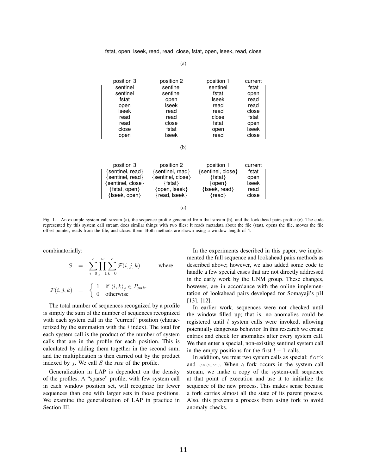| position 3   | position 2 | position 1 | current      |  |
|--------------|------------|------------|--------------|--|
| sentinel     | sentinel   | sentinel   | fstat        |  |
| sentinel     | sentinel   |            | open         |  |
| fstat        | open       | Iseek      | read         |  |
| open         | Iseek      | read       | read         |  |
| <b>Iseek</b> | read       | read       | close        |  |
| read         | read       | close      | fstat        |  |
| read         | close      | fstat      | open         |  |
| close        | fstat      | open       | <b>Iseek</b> |  |
| open         | lseek      | read       | close        |  |

(b)

| position 3            | position 2           | position 1           | current      |
|-----------------------|----------------------|----------------------|--------------|
| {sentinel, read}      | {sentinel, read}     | {sentinel, close}    | fstat        |
| {sentinel, read}      | {sentinel, close}    | $\{ \text{fstat} \}$ | open         |
| {sentinel, close}     | $\{ \text{fstat} \}$ | $\{open\}$           | <b>Iseek</b> |
| {fstat, open}         | {open, lseek}        | {Iseek, read}        | read         |
| $\{$ lseek, open $\}$ | {read, lseek}        | ${real}$             | close        |

(c)

Fig. 1. An example system call stream (a), the sequence profile generated from that stream (b), and the lookahead pairs profile (c). The code represented by this system call stream does similar things with two files: It reads metadata about the file (stat), opens the file, moves the file offset pointer, reads from the file, and closes them. Both methods are shown using a window length of 4.

combinatorially:

$$
S = \sum_{i=0}^{c} \prod_{j=1}^{w} \sum_{k=0}^{c} \mathcal{F}(i, j, k) \quad \text{where}
$$

$$
\mathcal{F}(i,j,k) = \begin{cases} 1 & \text{if } \langle i,k \rangle_j \in P_{pair} \\ 0 & \text{otherwise} \end{cases}
$$

The total number of sequences recognized by a profile is simply the sum of the number of sequences recognized with each system call in the "current" position (characterized by the summation with the  $i$  index). The total for each system call is the product of the number of system calls that are in the profile for each position. This is calculated by adding them together in the second sum, and the multiplication is then carried out by the product indexed by j. We call S the *size* of the profile.

Generalization in LAP is dependent on the density of the profiles. A "sparse" profile, with few system call in each window position set, will recognize far fewer sequences than one with larger sets in those positions. We examine the generalization of LAP in practice in Section III.

In the experiments described in this paper, we implemented the full sequence and lookahead pairs methods as described above; however, we also added some code to handle a few special cases that are not directly addressed in the early work by the UNM group. These changes, however, are in accordance with the online implementation of lookahead pairs developed for Somayaji's pH [13], [12].

In earlier work, sequences were not checked until the window filled up; that is, no anomalies could be registered until  $l$  system calls were invoked, allowing potentially dangerous behavior. In this research we create entries and check for anomalies after every system call. We then enter a special, non-existing sentinel system call in the empty positions for the first  $l - 1$  calls.

In addition, we treat two system calls as special: fork and execve. When a fork occurs in the system call stream, we make a copy of the system-call sequence at that point of execution and use it to initialize the sequence of the new process. This makes sense because a fork carries almost all the state of its parent process. Also, this prevents a process from using fork to avoid anomaly checks.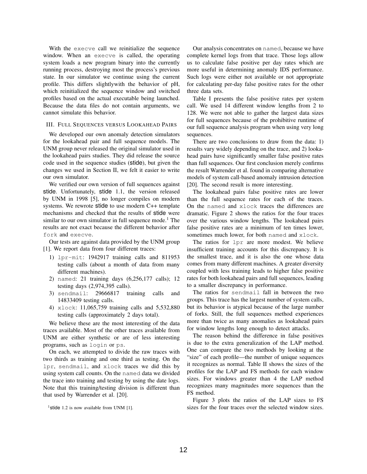With the execve call we reinitialize the sequence window. When an execve is called, the operating system loads a new program binary into the currently running process, destroying most the process's previous state. In our simulator we continue using the current profile. This differs slightlywith the behavior of pH, which reinitialized the sequence window and switched profiles based on the actual executable being launched. Because the data files do not contain arguments, we cannot simulate this behavior.

#### III. FULL SEQUENCES VERSUS LOOKAHEAD PAIRS

We developed our own anomaly detection simulators for the lookahead pair and full sequence models. The UNM group never released the original simulator used in the lookahead pairs studies. They did release the source code used in the sequence studies (stide), but given the changes we used in Section II, we felt it easier to write our own simulator.

We verified our own version of full sequences against stide. Unfortunately, stide 1.1, the version released by UNM in 1998 [5], no longer compiles on modern systems. We rewrote stide to use modern C++ template mechanisms and checked that the results of stide were similar to our own simulator in full sequence mode.<sup>1</sup> The results are not exact because the different behavior after fork and execve.

Our tests are against data provided by the UNM group [1]. We report data from four different traces:

- 1) lpr-mit: 1942917 training calls and 811953 testing calls (about a month of data from many different machines).
- 2) named: 21 training days (6,256,177 calls); 12 testing days (2,974,395 calls).
- 3) sendmail: 29666817 training calls and 14833409 testing calls.
- 4) xlock: 11,065,759 training calls and 5,532,880 testing calls (approximately 2 days total).

We believe these are the most interesting of the data traces available. Most of the other traces available from UNM are either synthetic or are of less interesting programs, such as login or ps.

On each, we attempted to divide the raw traces with two thirds as training and one third as testing. On the lpr, sendmail, and xlock traces we did this by using system call counts. On the named data we divided the trace into training and testing by using the date logs. Note that this training/testing division is different than that used by Warrender et al. [20].

Our analysis concentrates on named, because we have complete kernel logs from that trace. Those logs allow us to calculate false positive per day rates which are more useful in determining anomaly IDS performance. Such logs were either not available or not appropriate for calculating per-day false positive rates for the other three data sets.

Table I presents the false positive rates per system call. We used 14 different window lengths from 2 to 128. We were not able to gather the largest data sizes for full sequences because of the prohibitive runtime of our full sequence analysis program when using very long sequences.

There are two conclusions to draw from the data: 1) results vary widely depending on the trace, and 2) lookahead pairs have significantly smaller false positive rates than full sequences. Our first conclusion merely confirms the result Warrender et al. found in comparing alternative models of system call-based anomaly intrusion detection [20]. The second result is more interesting.

The lookahead pairs false positive rates are lower than the full sequence rates for each of the traces. On the named and xlock traces the differences are dramatic. Figure 2 shows the ratios for the four traces over the various window lengths. The lookahead pairs false positive rates are a minimum of ten times lower, sometimes much lower, for both named and xlock.

The ratios for lpr are more modest. We believe insufficient training accounts for this discrepancy. It is the smallest trace, and it is also the one whose data comes from many different machines. A greater diversity coupled with less training leads to higher false positive rates for both lookahead pairs and full sequences, leading to a smaller discrepancy in performance.

The ratios for sendmail fall in between the two groups. This trace has the largest number of system calls, but its behavior is atypical because of the large number of forks. Still, the full sequences method experiences more than twice as many anomalies as lookahead pairs for window lengths long enough to detect attacks.

The reason behind the difference in false positives is due to the extra generalization of the LAP method. One can compare the two methods by looking at the "size" of each profile—the number of unique sequences it recognizes as normal. Table II shows the sizes of the profiles for the LAP and FS methods for each window sizes. For windows greater than 4 the LAP method recognizes many magnitudes more sequences than the FS method.

Figure 3 plots the ratios of the LAP sizes to FS sizes for the four traces over the selected window sizes.

<sup>&</sup>lt;sup>1</sup>stide 1.2 is now available from UNM [1].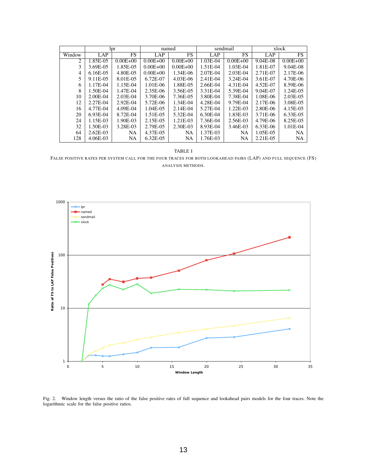|        | lpr         |              | named        |              | sendmail   |              | xlock      |              |
|--------|-------------|--------------|--------------|--------------|------------|--------------|------------|--------------|
| Window | LAP         | <b>FS</b>    | LAP          | FS           | LAP        | FS           | LAP        | FS.          |
| 2      | 1.85E-05    | $0.00E + 00$ | $0.00E + 00$ | $0.00E + 00$ | $1.03E-04$ | $0.00E + 00$ | 9.04E-08   | $0.00E + 00$ |
| 3      | 3.69E-05    | 1.85E-05     | $0.00E + 00$ | $0.00E + 00$ | 1.51E-04   | 1.03E-04     | 1.81E-07   | $9.04E-08$   |
| 4      | $6.16E-0.5$ | 4.80E-05     | $0.00E + 00$ | 1.34E-06     | 2.07E-04   | $2.03E-04$   | 2.71E-07   | 2.17E-06     |
| 5      | 9.11E-05    | 8.01E-05     | 6.72E-07     | 4.03E-06     | 2.41E-04   | 3.24E-04     | 3.61E-07   | 4.70E-06     |
| 6      | 1.17E-04    | 1.15E-04     | 1.01E-06     | 1.88E-05     | 2.66E-04   | 4.31E-04     | 4.52E-07   | 8.59E-06     |
| 8      | 1.50E-04    | 1.47E-04     | 2.35E-06     | 3.56E-05     | 3.31E-04   | 5.39E-04     | 9.04E-07   | 1.24E-05     |
| 10     | 2.00E-04    | $2.03E-04$   | 3.70E-06     | 7.36E-05     | 3.80E-04   | 7.38E-04     | 1.08E-06   | 2.03E-05     |
| 12     | 2.27E-04    | 2.92E-04     | 5.72E-06     | 1.34E-04     | 4.28E-04   | 9.79E-04     | 2.17E-06   | 3.08E-05     |
| 16     | 4.77E-04    | 4.09E-04     | 1.04E-05     | 2.14E-04     | 5.27E-04   | $1.22E-03$   | 2.80E-06   | 4.15E-05     |
| 20     | $6.93E-04$  | 8.72E-04     | 1.51E-05     | 5.32E-04     | 6.30E-04   | 1.83E-03     | 3.71E-06   | 6.33E-05     |
| 24     | 1.15E-03    | 1.90E-03     | 2.15E-05     | 1.21E-03     | 7.36E-04   | 2.56E-03     | 4.79E-06   | 8.25E-05     |
| 32     | 1.50E-03    | 3.28E-03     | 2.79E-05     | 2.30E-03     | 8.93E-04   | 3.46E-03     | $6.33E-06$ | $1.01E-04$   |
| 64     | $2.62E-03$  | <b>NA</b>    | 4.37E-05     | <b>NA</b>    | 1.37E-03   | <b>NA</b>    | 1.05E-05   | <b>NA</b>    |
| 128    | 4.06E-03    | <b>NA</b>    | 6.32E-05     | <b>NA</b>    | 1.76E-03   | <b>NA</b>    | 2.21E-05   | <b>NA</b>    |

TABLE I

FALSE POSITIVE RATES PER SYSTEM CALL FOR THE FOUR TRACES FOR BOTH LOOKAHEAD PAIRS (LAP) AND FULL SEQUENCE (FS) ANALYSIS METHODS.



Fig. 2. Window length versus the ratio of the false positive rates of full sequence and lookahead pairs models for the four traces. Note the logarithmic scale for the false positive ratios.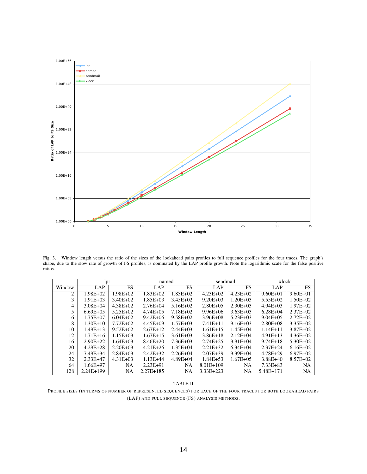

Fig. 3. Window length versus the ratio of the sizes of the lookahead pairs profiles to full sequence profiles for the four traces. The graph's shape, due to the slow rate of growth of FS profiles, is dominated by the LAP profile growth. Note the logarithmic scale for the false positive ratios.

|        | lpr          |               | named         |              | sendmail      |               | xlock         |              |
|--------|--------------|---------------|---------------|--------------|---------------|---------------|---------------|--------------|
| Window | <b>LAP</b>   | <b>FS</b>     | LAP           | <b>FS</b>    | LAP           | <b>FS</b>     | LAP           | FS.          |
| 2      | 1.98E+02     | 1.98E+02      | $1.83E + 02$  | $1.83E + 02$ | $4.23E + 02$  | $4.23E + 02$  | $9.60E + 01$  | $9.60E + 01$ |
| 3      | $1.91E + 03$ | $3.40E + 02$  | $1.85E + 03$  | $3.45E + 02$ | $9.20E + 0.3$ | $1.20E + 03$  | $5.55E+02$    | $1.50E + 02$ |
| 4      | $3.08E + 04$ | $4.38E + 02$  | $2.76E + 04$  | $5.16E + 02$ | $2.80E + 0.5$ | $2.30E + 0.3$ | $4.94E + 03$  | $1.97E + 02$ |
| 5      | $6.69E + 05$ | $5.25E+02$    | $4.74E + 0.5$ | $7.18E + 02$ | $9.96E + 06$  | $3.63E + 03$  | $6.28E + 04$  | $2.37E + 02$ |
| 6      | $1.75E + 07$ | $6.04E + 02$  | $9.42E + 06$  | $9.58E + 02$ | $3.96E + 08$  | $5.23E + 03$  | $9.04E + 05$  | $2.72E+02$   |
| 8      | $1.30E+10$   | $7.72E + 02$  | $4.45E + 09$  | $1.57E + 03$ | $7.41E+11$    | $9.16E + 03$  | $2.80E + 0.8$ | $3.35E+02$   |
| 10     | $1.49E+13$   | $9.52E+02$    | $2.67E+12$    | $2.44E + 03$ | $1.61E+15$    | $1.45E + 04$  | $1.14E + 11$  | $3.87E + 02$ |
| 12     | $1.71E+16$   | $1.15E + 03$  | $1.67E+15$    | $3.61E + 03$ | $3.86E+18$    | $2.12E + 04$  | $4.91E+13$    | $4.36E+02$   |
| 16     | $2.90E+22$   | $1.64E + 03$  | $8.46E + 20$  | $7.36E + 03$ | $2.74E + 25$  | $3.91E + 04$  | $9.74E + 18$  | $5.30E + 02$ |
| 20     | $4.29E + 28$ | $2.20E + 03$  | $4.21E + 26$  | $1.35E + 04$ | $2.21E + 32$  | $6.34E + 04$  | $2.37E + 24$  | $6.16E+02$   |
| 24     | 7.49E+34     | $2.84E + 0.3$ | $2.42E + 32$  | $2.26E + 04$ | $2.07E + 39$  | $9.39E + 04$  | 4.78E+29      | $6.97E+02$   |
| 32     | $2.33E+47$   | $4.31E + 03$  | $1.13E+44$    | 4.89E+04     | $1.84E + 53$  | $1.67E + 0.5$ | $3.88E + 40$  | $8.57E + 02$ |
| 64     | $1.66E+97$   | <b>NA</b>     | $2.23E+91$    | <b>NA</b>    | 8.01E+109     | NA            | $7.33E + 83$  | <b>NA</b>    |
| 128    | $2.24E+199$  | NA            | $2.27E+185$   | NA           | 3.33E+223     | NA            | 5.48E+171     | NA           |

#### TABLE II

PROFILE SIZES (IN TERMS OF NUMBER OF REPRESENTED SEQUENCES) FOR EACH OF THE FOUR TRACES FOR BOTH LOOKAHEAD PAIRS (LAP) AND FULL SEQUENCE (FS) ANALYSIS METHODS.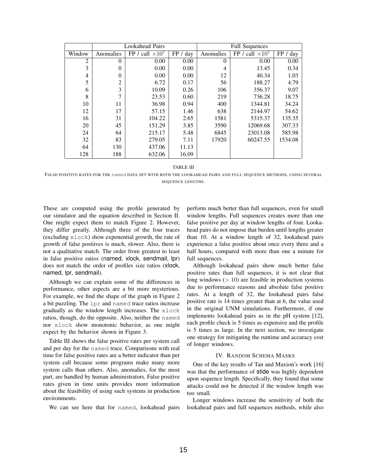|        |           | <b>Lookahead Pairs</b>  |          | <b>Full Sequences</b> |                         |          |  |
|--------|-----------|-------------------------|----------|-----------------------|-------------------------|----------|--|
| Window | Anomalies | FP / call $\times 10^7$ | FP / day | Anomalies             | FP / call $\times 10^7$ | FP / day |  |
| 2      | $\theta$  | 0.00                    | 0.00     | $\theta$              | 0.00                    | 0.00     |  |
| 3      | $\Omega$  | 0.00                    | 0.00     | 4                     | 13.45                   | 0.34     |  |
| 4      | $\theta$  | 0.00                    | 0.00     | 12                    | 40.34                   | 1.03     |  |
| 5      | 2         | 6.72                    | 0.17     | 56                    | 188.27                  | 4.79     |  |
| 6      | 3         | 10.09                   | 0.26     | 106                   | 356.37                  | 9.07     |  |
| 8      | 7         | 23.53                   | 0.60     | 219                   | 736.28                  | 18.75    |  |
| 10     | 11        | 36.98                   | 0.94     | 400                   | 1344.81                 | 34.24    |  |
| 12     | 17        | 57.15                   | 1.46     | 638                   | 2144.97                 | 54.62    |  |
| 16     | 31        | 104.22                  | 2.65     | 1581                  | 5315.37                 | 135.35   |  |
| 20     | 45        | 151.29                  | 3.85     | 3590                  | 12069.68                | 307.33   |  |
| 24     | 64        | 215.17                  | 5.48     | 6845                  | 23013.08                | 585.98   |  |
| 32     | 83        | 279.05                  | 7.11     | 17920                 | 60247.55                | 1534.08  |  |
| 64     | 130       | 437.06                  | 11.13    |                       |                         |          |  |
| 128    | 188       | 632.06                  | 16.09    |                       |                         |          |  |

TABLE III

FALSE POSITIVE RATES FOR THE named DATA SET WITH BOTH THE LOOKAHEAD PAIRS AND FULL SEQUENCE METHODS, USING SEVERAL SEQUENCE LENGTHS.

These are computed using the profile generated by our simulator and the equation described in Section II. One might expect them to match Figure 2. However, they differ greatly. Although three of the four traces (excluding xlock) show exponential growth, the rate of growth of false postiives is much, slower. Also, there is not a qualitative match. The order from greatest to least in false positive ratios (named, xlock, sendmail, lpr) does not match the order of profiles size ratios (xlock, named, lpr, sendmail).

Although we can explain some of the differences in performance, other aspects are a bit more mysterious. For example, we find the shape of the graph in Figure 2 a bit puzzling. The lpr and named trace ratios increase gradually as the window length increases. The xlock ratios, though, do the opposite. Also, neither the named nor xlock show monotonic behavior, as one might expect by the behavior shown in Figure 3.

Table III shows the false positive rates per system call and per day for the named trace. Comparisons with real time for false positive rates are a better indicator than per system call because some programs make many more system calls than others. Also, anomalies, for the most part, are handled by human administrators. False positive rates given in time units provides more information about the feasibility of using such systems in production environments.

We can see here that for named, lookahead pairs

perform much better than full sequences, even for small window lengths. Full sequences creates more than one false positive per day at window lengths of four. Lookahead pairs do not impose that burden until lengths greater than 10. At a window length of 32, lookahead pairs experience a false positive about once every three and a half hours, compared with more than one a minute for full sequences.

Although lookahead pairs show much better false positive rates than full sequences, it is not clear that long windows  $($  > 10) are feasible in production systems due to performance reasons and absolute false positive rates. At a length of 32, the lookahead pairs false positive rate is 14 times greater than at 6, the value used in the original UNM simulations. Furthermore, if one implements lookahead pairs as in the pH system [12], each profile check is 5 times as expensive and the profile is 5 times as large. In the next section, we investigate one strategy for mitigating the runtime and accuracy cost of longer windows.

#### IV. RANDOM SCHEMA MASKS

One of the key results of Tan and Maxion's work [16] was that the performance of stide was highly dependent upon sequence length. Specifically, they found that some attacks could not be detected if the window length was too small.

Longer windows increase the sensitivity of both the lookahead pairs and full sequences methods, while also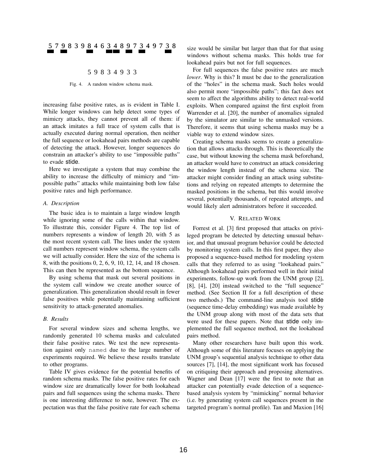# 5 7 9 8 3 9 8 4 6 3 4 8 9 7 3 4 9 7 3 8

#### 5 9 8 3 4 9 3 3

Fig. 4. A random window schema mask.

increasing false positive rates, as is evident in Table I. While longer windows can help detect some types of mimicry attacks, they cannot prevent all of them: if an attack imitates a full trace of system calls that is actually executed during normal operation, then neither the full sequence or lookahead pairs methods are capable of detecting the attack. However, longer sequences do constrain an attacker's ability to use "impossible paths" to evade stide.

Here we investigate a system that may combine the ability to increase the difficulty of mimicry and "impossible paths" attacks while maintaining both low false positive rates and high performance.

#### *A. Description*

The basic idea is to maintain a large window length while ignoring some of the calls within that window. To illustrate this, consider Figure 4. The top list of numbers represents a window of length 20, with 5 as the most recent system call. The lines under the system call numbers represent window schema, the system calls we will actually consider. Here the size of the schema is 8, with the positions 0, 2, 6, 9, 10, 12, 14, and 18 chosen. This can then be represented as the bottom sequence.

By using schema that mask out several positions in the system call window we create another source of generalization. This generalization should result in fewer false positives while potentially maintaining sufficient sensitivity to attack-generated anomalies.

#### *B. Results*

For several window sizes and schema lengths, we randomly generated 10 schema masks and calculated their false positive rates. We test the new representation against only named due to the large number of experiments required. We believe these results translate to other programs.

Table IV gives evidence for the potential benefits of random schema masks. The false positive rates for each window size are dramatically lower for both lookahead pairs and full sequences using the schema masks. There is one interesting difference to note, however. The expectation was that the false positive rate for each schema

size would be similar but larger than that for that using windows without schema masks. This holds true for lookahead pairs but not for full sequences.

For full sequences the false positive rates are much *lower*. Why is this? It must be due to the generalization of the "holes" in the schema mask. Such holes would also permit more "impossible paths"; this fact does not seem to affect the algorithms ability to detect real-world exploits. When compared against the first exploit from Warrender et al. [20], the number of anomalies signaled by the simulator are similar to the unmasked versions. Therefore, it seems that using schema masks may be a viable way to extend window sizes.

Creating schema masks seems to create a generalization that allows attacks through. This is theoretically the case, but without knowing the schema mask beforehand, an attacker would have to construct an attack considering the window length instead of the schema size. The attacker might consider finding an attack using substitutions and relying on repeated attempts to determine the masked positions in the schema, but this would involve several, potentially thousands, of repeated attempts, and would likely alert administrators before it succeeded.

#### V. RELATED WORK

Forrest et al. [3] first proposed that attacks on privileged program be detected by detecting unusual behavior, and that unusual program behavior could be detected by monitoring system calls. In this first paper, they also proposed a sequence-based method for modeling system calls that they referred to as using "lookahead pairs." Although lookahead pairs performed well in their initial experiments, follow-up work from the UNM group [2], [8], [4], [20] instead switched to the "full sequence" method. (See Section II for a full description of these two methods.) The command-line analysis tool stide (sequence time-delay embedding) was made available by the UNM group along with most of the data sets that were used for these papers. Note that stide only implemented the full sequence method, not the lookahead pairs method.

Many other researchers have built upon this work. Although some of this literature focuses on applying the UNM group's sequential analysis technique to other data sources [7], [14], the most significant work has focused on critiquing their approach and proposing alternatives. Wagner and Dean [17] were the first to note that an attacker can potentially evade detection of a sequencebased analysis system by "mimicking" normal behavior (i.e. by generating system call sequences present in the targeted program's normal profile). Tan and Maxion [16]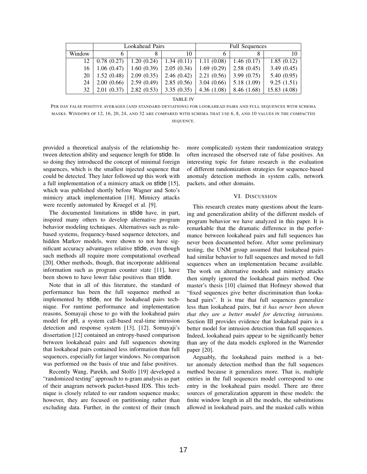|        |             | Lookahead Pairs |            | <b>Full Sequences</b> |             |              |
|--------|-------------|-----------------|------------|-----------------------|-------------|--------------|
| Window | h           |                 | 10         | <sub>(</sub>          |             | 10           |
| 12.    | 0.78(0.27)  | 1.20(0.24)      | 1.34(0.11) | 1.11(0.08)            | 1.46(0.17)  | 1.85(0.12)   |
| 16     | 1.06(0.47)  | 1.60(0.39)      | 2.05(0.34) | 1.69(0.29)            | 2.58(0.45)  | 3.49(0.45)   |
| 20     | 1.52(0.48)  | 2.09(0.35)      | 2.46(0.42) | 2.21(0.56)            | 3.99(0.75)  | 5.40(0.95)   |
| 24     | 2.00(0.66)  | 2.59(0.49)      | 2.85(0.56) | 3.04(0.66)            | 5.18 (1.09) | 9.25(1.51)   |
| 32     | 2.01 (0.37) | 2.82(0.53)      | 3.35(0.35) | 4.36(1.08)            | 8.46 (1.68) | 15.83 (4.08) |

TABLE IV

PER DAY FALSE POSITIVE AVERAGES (AND STANDARD DEVIATIONS) FOR LOOKAHEAD PAIRS AND FULL SEQUENCES WITH SCHEMA MASKS. WINDOWS OF 12, 16, 20, 24, AND 32 ARE COMPARED WITH SCHEMA THAT USE 6, 8, AND 10 VALUES IN THE COMPACTED SEQUENCE.

provided a theoretical analysis of the relationship between detection ability and sequence length for stide. In so doing they introduced the concept of minimal foreign sequences, which is the smallest injected sequence that could be detected. They later followed up this work with a full implementation of a mimicry attack on stide [15], which was published shortly before Wagner and Soto's mimicry attack implementation [18]. Mimicry attacks were recently automated by Kruegel et al. [9].

The documented limitations in stide have, in part, inspired many others to develop alternative program behavior modeling techniques. Alternatives such as rulebased systems, frequency-based sequence detectors, and hidden Markov models, were shown to not have significant accuracy advantages relative stide, even though such methods all require more computational overhead [20]. Other methods, though, that incorporate additional information such as program counter state [11], have been shown to have lower false positives than stide.

Note that in all of this literature, the standard of performance has been the full sequence method as implemented by stide, not the lookahead pairs technique. For runtime performance and implementation reasons, Somayaji chose to go with the lookahead pairs model for pH, a system call-based real-time intrusion detection and response system [13], [12]. Somayaji's dissertation [12] contained an entropy-based comparison between lookahead pairs and full sequences showing that lookahead pairs contained less information than full sequences, especially for larger windows. No comparison was performed on the basis of true and false positives.

Recently Wang, Parekh, and Stolfo [19] developed a "randomized testing" approach to n-gram analysis as part of their anagram network packet-based IDS. This technique is closely related to our random sequence masks; however, they are focused on partitioning rather than excluding data. Further, in the context of their (much more complicated) system their randomization strategy often increased the observed rate of false positives. An interesting topic for future research is the evaluation of different randomization strategies for sequence-based anomaly detection methods in system calls, network packets, and other domains.

#### VI. DISCUSSION

This research creates many questions about the learning and generalization ability of the different models of program behavior we have analyzed in this paper. It is remarkable that the dramatic difference in the performance between lookahead pairs and full sequences has never been documented before. After some preliminary testing, the UNM group assumed that lookahead pairs had similar behavior to full sequences and moved to full sequences when an implementation became available. The work on alternative models and mimicry attacks then simply ignored the lookahead pairs method. One master's thesis [10] claimed that Hofmeyr showed that "fixed sequences give better discrimination than lookahead pairs". It is true that full sequences generalize less than lookahead pairs, but *it has never been shown that they are a better model for detecting intrusions*. Section III provides evidence that lookahead pairs is a better model for intrusion detection than full sequences. Indeed, lookahead pairs appear to be significantly better than any of the data models explored in the Warrender paper [20].

Arguably, the lookahead pairs method is a better anomaly detection method than the full sequences method because it generalizes more. That is, multiple entries in the full sequences model correspond to one entry in the lookahead pairs model. There are three sources of generalization apparent in these models: the finite window length in all the models, the substitutions allowed in lookahead pairs, and the masked calls within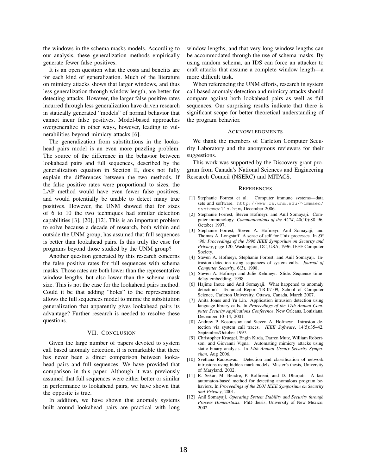the windows in the schema masks models. According to our analysis, these generalization methods empirically generate fewer false positives.

It is an open question what the costs and benefits are for each kind of generalization. Much of the literature on mimicry attacks shows that larger windows, and thus less generalization through window length, are better for detecting attacks. However, the larger false positive rates incurred through less generalization have driven research in statically generated "models" of normal behavior that cannot incur false positives. Model-based approaches overgeneralize in other ways, however, leading to vulnerabilities beyond mimicry attacks [6].

The generalization from substitutions in the lookahead pairs model is an even more puzzling problem. The source of the difference in the behavior between lookahead pairs and full sequences, described by the generalization equation in Section II, does not fully explain the differences between the two methods. If the false positive rates were proportional to sizes, the LAP method would have even fewer false positives, and would potentially be unable to detect many true positives. However, the UNM showed that for sizes of 6 to 10 the two techniques had similar detection capabilities [3], [20], [12]. This is an important problem to solve because a decade of research, both within and outside the UNM group, has assumed that full sequences is better than lookahead pairs. Is this truly the case for programs beyond those studied by the UNM group?

Another question generated by this research concerns the false positive rates for full sequences with schema masks. Those rates are both lower than the representative window lengths, but also lower than the schema mask size. This is not the case for the lookahead pairs method. Could it be that adding "holes" to the representation allows the full sequences model to mimic the substitution generalization that apparently gives lookahead pairs its advantage? Further research is needed to resolve these questions.

#### VII. CONCLUSION

Given the large number of papers devoted to system call based anomaly detection, it is remarkable that there has never been a direct comparison between lookahead pairs and full sequences. We have provided that comparison in this paper. Although it was previously assumed that full sequences were either better or similar in performance to lookahead pairs, we have shown that the opposite is true.

In addition, we have shown that anomaly systems built around lookahead pairs are practical with long

window lengths, and that very long window lengths can be accommodated through the use of schema masks. By using random schema, an IDS can force an attacker to craft attacks that assume a complete window length—a more difficult task.

When referencing the UNM efforts, research in system call based anomaly detection and mimicry attacks should compare against both lookahead pairs as well as full sequences. Our surprising results indicate that there is significant scope for better theoretical understanding of the program behavior.

#### ACKNOWLEDGMENTS

We thank the members of Carleton Computer Security Laboratory and the anonymous reviewers for their suggestions.

This work was supported by the Discovery grant program from Canada's National Sciences and Engineering Research Council (NSERC) and MITACS.

#### **REFERENCES**

- [1] Stephanie Forrest et al. Computer immune systems—data sets and software. http://www.cs.unm.edu/∼immsec/ systemcalls.htm, December 2006.
- [2] Stephanie Forrest, Steven Hofmeyr, and Anil Somayaji. Computer immunology. *Communications of the ACM*, 40(10):88–96, October 1997.
- [3] Stephanie Forrest, Steven A. Hofmeyr, Anil Somayaji, and Thomas A. Longstaff. A sense of self for Unix processes. In *SP '96: Proceedings of the 1996 IEEE Symposium on Security and Privacy*, page 120, Washington, DC, USA, 1996. IEEE Computer Society.
- [4] Steven A. Hofmeyr, Stephanie Forrest, and Anil Somayaji. Intrusion detection using sequences of system calls. *Journal of Computer Security*, 6(3), 1998.
- [5] Steven A. Hofmeyr and Julie Rehmeyr. Stide: Sequence timedelay embedding, 1998.
- [6] Hajime Inoue and Anil Somayaji. What happened to anomaly detection? Technical Report TR-07-09, School of Computer Science, Carleton University, Ottawa, Canada, March 2007.
- [7] Anita Jones and Yu Lin. Application intrusion detection using language library calls. In *Proceedings of the 17th Annual Computer Security Applications Conference*, New Orleans, Louisiana, December 10–14, 2001.
- [8] Andrew P. Kosoresow and Steven A. Hofmeyr. Intrusion detection via system call traces. *IEEE Software*, 14(5):35–42, September/October 1997.
- [9] Christopher Kruegel, Engin Kirda, Darren Mutz, William Robertson, and Giovanni Vigna. Automating mimicry attacks using static binary analysis. In *14th Annual Usenix Security Symposium*, Aug 2006.
- [10] Svetlana Radosavac. Detection and classification of network intrusions using hidden mark models. Master's thesis, University of Maryland, 2002.
- [11] R. Sekar, M. Bendre, P. Bollineni, and D. Dhurjati. A fast automaton-based method for detecting anomalous program behaviors. In *Proceedings of the 2001 IEEE Symposium on Security and Privacy*, 2001.
- [12] Anil Somayaji. *Operating System Stability and Security through Process Homeostasis*. PhD thesis, University of New Mexico, 2002.